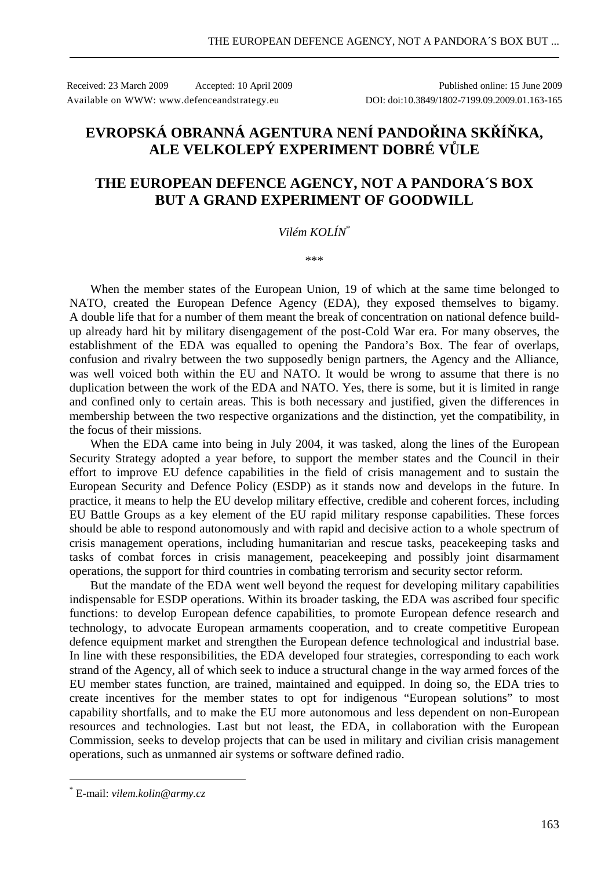Received: 23 March 2009 Accepted: 10 April 2009 Published online: 15 June 2009 Available on WWW: www.defenceandstrategy.eu DOI: doi:10.3849/1802-7199.09.2009.01.163-165

## **EVROPSKÁ OBRANNÁ AGENTURA NENÍ PANDOŘINA SKŘÍŇKA, ALE VELKOLEPÝ EXPERIMENT DOBRÉ VŮLE**

## **THE EUROPEAN DEFENCE AGENCY, NOT A PANDORA´S BOX BUT A GRAND EXPERIMENT OF GOODWILL**

## *Vilém KOLÍN*\*

\*\*\*

When the member states of the European Union, 19 of which at the same time belonged to NATO, created the European Defence Agency (EDA), they exposed themselves to bigamy. A double life that for a number of them meant the break of concentration on national defence buildup already hard hit by military disengagement of the post-Cold War era. For many observes, the establishment of the EDA was equalled to opening the Pandora's Box. The fear of overlaps, confusion and rivalry between the two supposedly benign partners, the Agency and the Alliance, was well voiced both within the EU and NATO. It would be wrong to assume that there is no duplication between the work of the EDA and NATO. Yes, there is some, but it is limited in range and confined only to certain areas. This is both necessary and justified, given the differences in membership between the two respective organizations and the distinction, yet the compatibility, in the focus of their missions.

When the EDA came into being in July 2004, it was tasked, along the lines of the European Security Strategy adopted a year before, to support the member states and the Council in their effort to improve EU defence capabilities in the field of crisis management and to sustain the European Security and Defence Policy (ESDP) as it stands now and develops in the future. In practice, it means to help the EU develop military effective, credible and coherent forces, including EU Battle Groups as a key element of the EU rapid military response capabilities. These forces should be able to respond autonomously and with rapid and decisive action to a whole spectrum of crisis management operations, including humanitarian and rescue tasks, peacekeeping tasks and tasks of combat forces in crisis management, peacekeeping and possibly joint disarmament operations, the support for third countries in combating terrorism and security sector reform.

But the mandate of the EDA went well beyond the request for developing military capabilities indispensable for ESDP operations. Within its broader tasking, the EDA was ascribed four specific functions: to develop European defence capabilities, to promote European defence research and technology, to advocate European armaments cooperation, and to create competitive European defence equipment market and strengthen the European defence technological and industrial base. In line with these responsibilities, the EDA developed four strategies, corresponding to each work strand of the Agency, all of which seek to induce a structural change in the way armed forces of the EU member states function, are trained, maintained and equipped. In doing so, the EDA tries to create incentives for the member states to opt for indigenous "European solutions" to most capability shortfalls, and to make the EU more autonomous and less dependent on non-European resources and technologies. Last but not least, the EDA, in collaboration with the European Commission, seeks to develop projects that can be used in military and civilian crisis management operations, such as unmanned air systems or software defined radio.

 $\overline{a}$ 

<sup>\*</sup> E-mail: *vilem.kolin@army.cz*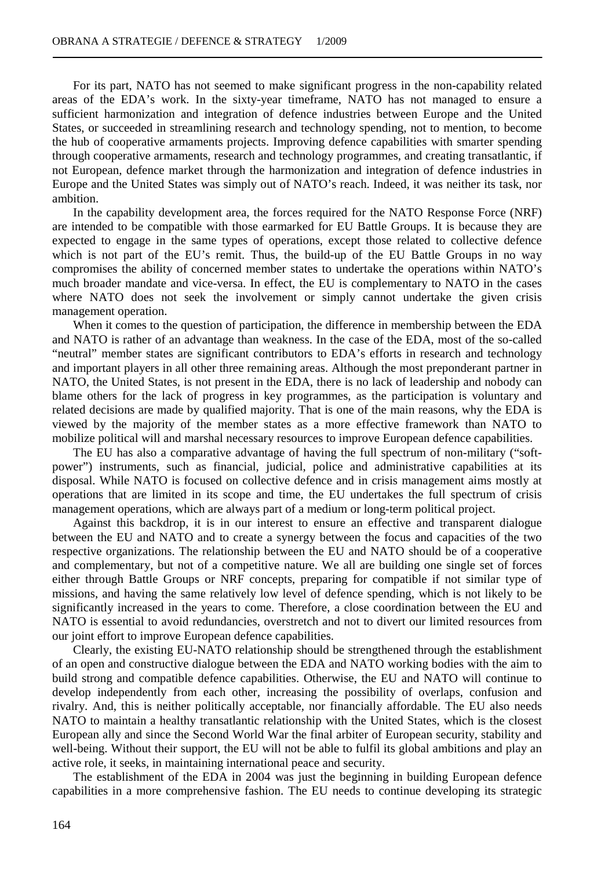For its part, NATO has not seemed to make significant progress in the non-capability related areas of the EDA's work. In the sixty-year timeframe, NATO has not managed to ensure a sufficient harmonization and integration of defence industries between Europe and the United States, or succeeded in streamlining research and technology spending, not to mention, to become the hub of cooperative armaments projects. Improving defence capabilities with smarter spending through cooperative armaments, research and technology programmes, and creating transatlantic, if not European, defence market through the harmonization and integration of defence industries in Europe and the United States was simply out of NATO's reach. Indeed, it was neither its task, nor ambition.

In the capability development area, the forces required for the NATO Response Force (NRF) are intended to be compatible with those earmarked for EU Battle Groups. It is because they are expected to engage in the same types of operations, except those related to collective defence which is not part of the EU's remit. Thus, the build-up of the EU Battle Groups in no way compromises the ability of concerned member states to undertake the operations within NATO's much broader mandate and vice-versa. In effect, the EU is complementary to NATO in the cases where NATO does not seek the involvement or simply cannot undertake the given crisis management operation.

When it comes to the question of participation, the difference in membership between the EDA and NATO is rather of an advantage than weakness. In the case of the EDA, most of the so-called "neutral" member states are significant contributors to EDA's efforts in research and technology and important players in all other three remaining areas. Although the most preponderant partner in NATO, the United States, is not present in the EDA, there is no lack of leadership and nobody can blame others for the lack of progress in key programmes, as the participation is voluntary and related decisions are made by qualified majority. That is one of the main reasons, why the EDA is viewed by the majority of the member states as a more effective framework than NATO to mobilize political will and marshal necessary resources to improve European defence capabilities.

The EU has also a comparative advantage of having the full spectrum of non-military ("softpower") instruments, such as financial, judicial, police and administrative capabilities at its disposal. While NATO is focused on collective defence and in crisis management aims mostly at operations that are limited in its scope and time, the EU undertakes the full spectrum of crisis management operations, which are always part of a medium or long-term political project.

Against this backdrop, it is in our interest to ensure an effective and transparent dialogue between the EU and NATO and to create a synergy between the focus and capacities of the two respective organizations. The relationship between the EU and NATO should be of a cooperative and complementary, but not of a competitive nature. We all are building one single set of forces either through Battle Groups or NRF concepts, preparing for compatible if not similar type of missions, and having the same relatively low level of defence spending, which is not likely to be significantly increased in the years to come. Therefore, a close coordination between the EU and NATO is essential to avoid redundancies, overstretch and not to divert our limited resources from our joint effort to improve European defence capabilities.

Clearly, the existing EU-NATO relationship should be strengthened through the establishment of an open and constructive dialogue between the EDA and NATO working bodies with the aim to build strong and compatible defence capabilities. Otherwise, the EU and NATO will continue to develop independently from each other, increasing the possibility of overlaps, confusion and rivalry. And, this is neither politically acceptable, nor financially affordable. The EU also needs NATO to maintain a healthy transatlantic relationship with the United States, which is the closest European ally and since the Second World War the final arbiter of European security, stability and well-being. Without their support, the EU will not be able to fulfil its global ambitions and play an active role, it seeks, in maintaining international peace and security.

The establishment of the EDA in 2004 was just the beginning in building European defence capabilities in a more comprehensive fashion. The EU needs to continue developing its strategic